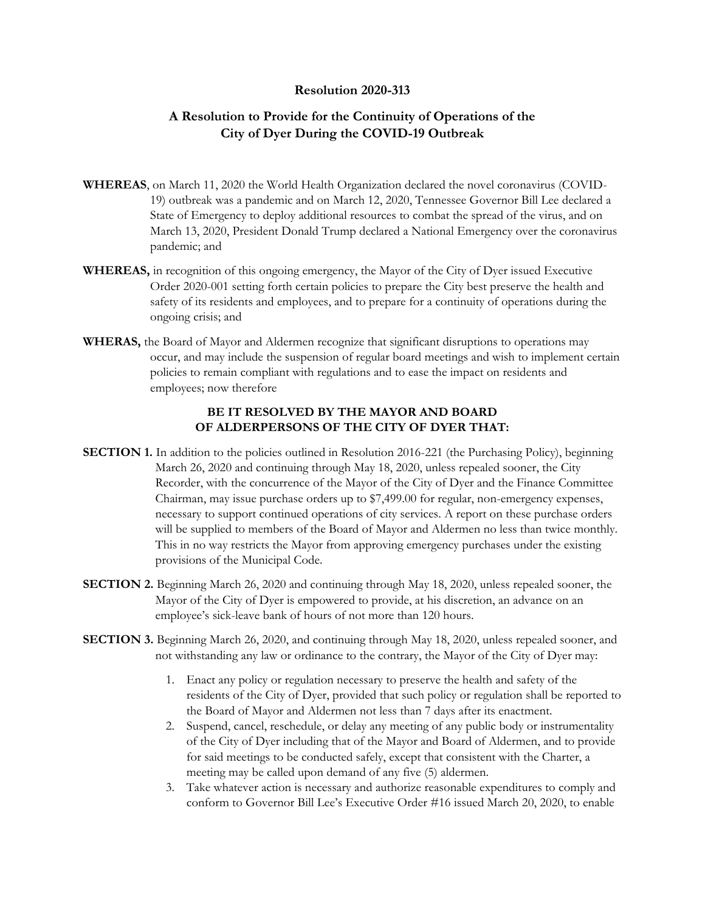## **Resolution 2020-313**

## **A Resolution to Provide for the Continuity of Operations of the City of Dyer During the COVID-19 Outbreak**

- **WHEREAS**, on March 11, 2020 the World Health Organization declared the novel coronavirus (COVID-19) outbreak was a pandemic and on March 12, 2020, Tennessee Governor Bill Lee declared a State of Emergency to deploy additional resources to combat the spread of the virus, and on March 13, 2020, President Donald Trump declared a National Emergency over the coronavirus pandemic; and
- **WHEREAS,** in recognition of this ongoing emergency, the Mayor of the City of Dyer issued Executive Order 2020-001 setting forth certain policies to prepare the City best preserve the health and safety of its residents and employees, and to prepare for a continuity of operations during the ongoing crisis; and
- **WHERAS,** the Board of Mayor and Aldermen recognize that significant disruptions to operations may occur, and may include the suspension of regular board meetings and wish to implement certain policies to remain compliant with regulations and to ease the impact on residents and employees; now therefore

## **BE IT RESOLVED BY THE MAYOR AND BOARD OF ALDERPERSONS OF THE CITY OF DYER THAT:**

- **SECTION 1.** In addition to the policies outlined in Resolution 2016-221 (the Purchasing Policy), beginning March 26, 2020 and continuing through May 18, 2020, unless repealed sooner, the City Recorder, with the concurrence of the Mayor of the City of Dyer and the Finance Committee Chairman, may issue purchase orders up to \$7,499.00 for regular, non-emergency expenses, necessary to support continued operations of city services. A report on these purchase orders will be supplied to members of the Board of Mayor and Aldermen no less than twice monthly. This in no way restricts the Mayor from approving emergency purchases under the existing provisions of the Municipal Code.
- **SECTION 2.** Beginning March 26, 2020 and continuing through May 18, 2020, unless repealed sooner, the Mayor of the City of Dyer is empowered to provide, at his discretion, an advance on an employee's sick-leave bank of hours of not more than 120 hours.
- **SECTION 3.** Beginning March 26, 2020, and continuing through May 18, 2020, unless repealed sooner, and not withstanding any law or ordinance to the contrary, the Mayor of the City of Dyer may:
	- 1. Enact any policy or regulation necessary to preserve the health and safety of the residents of the City of Dyer, provided that such policy or regulation shall be reported to the Board of Mayor and Aldermen not less than 7 days after its enactment.
	- 2. Suspend, cancel, reschedule, or delay any meeting of any public body or instrumentality of the City of Dyer including that of the Mayor and Board of Aldermen, and to provide for said meetings to be conducted safely, except that consistent with the Charter, a meeting may be called upon demand of any five (5) aldermen.
	- 3. Take whatever action is necessary and authorize reasonable expenditures to comply and conform to Governor Bill Lee's Executive Order #16 issued March 20, 2020, to enable